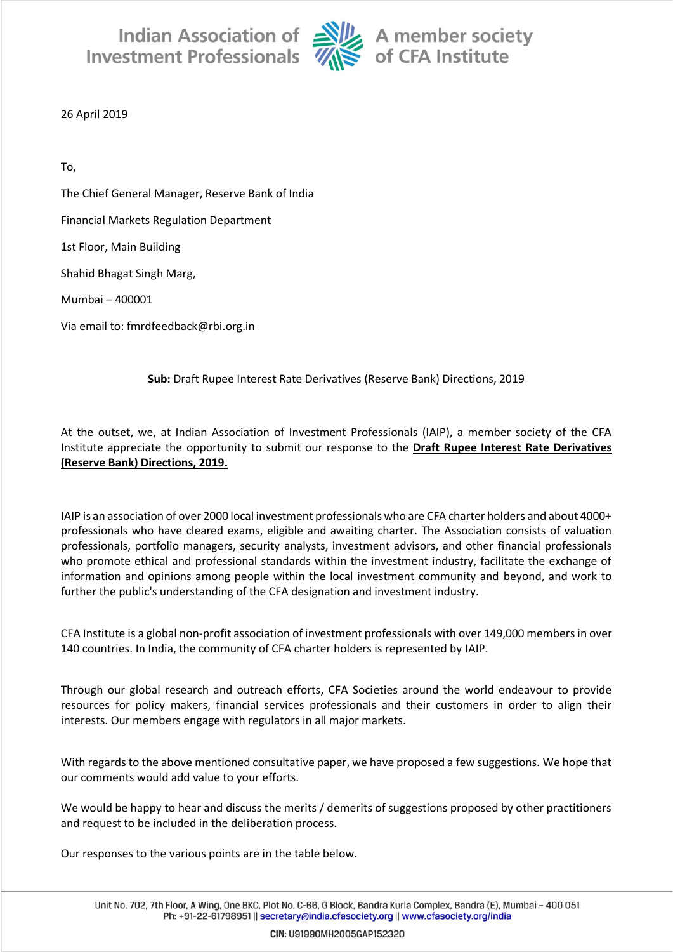Indian Association of Alle A member society<br>Investment Professionals Alle of CFA Institute



26 April 2019

To, The Chief General Manager, Reserve Bank of India Financial Markets Regulation Department 1st Floor, Main Building Shahid Bhagat Singh Marg, Mumbai – 400001 Via email to: fmrdfeedback@rbi.org.in

## **Sub:** Draft Rupee Interest Rate Derivatives (Reserve Bank) Directions, 2019

At the outset, we, at Indian Association of Investment Professionals (IAIP), a member society of the CFA Institute appreciate the opportunity to submit our response to the **Draft Rupee Interest Rate Derivatives (Reserve Bank) Directions, 2019.**

IAIP is an association of over 2000 local investment professionals who are CFA charter holders and about 4000+ professionals who have cleared exams, eligible and awaiting charter. The Association consists of valuation professionals, portfolio managers, security analysts, investment advisors, and other financial professionals who promote ethical and professional standards within the investment industry, facilitate the exchange of information and opinions among people within the local investment community and beyond, and work to further the public's understanding of the CFA designation and investment industry.

CFA Institute is a global non-profit association of investment professionals with over 149,000 members in over 140 countries. In India, the community of CFA charter holders is represented by IAIP.

Through our global research and outreach efforts, CFA Societies around the world endeavour to provide resources for policy makers, financial services professionals and their customers in order to align their interests. Our members engage with regulators in all major markets.

With regards to the above mentioned consultative paper, we have proposed a few suggestions. We hope that our comments would add value to your efforts.

We would be happy to hear and discuss the merits / demerits of suggestions proposed by other practitioners and request to be included in the deliberation process.

Our responses to the various points are in the table below.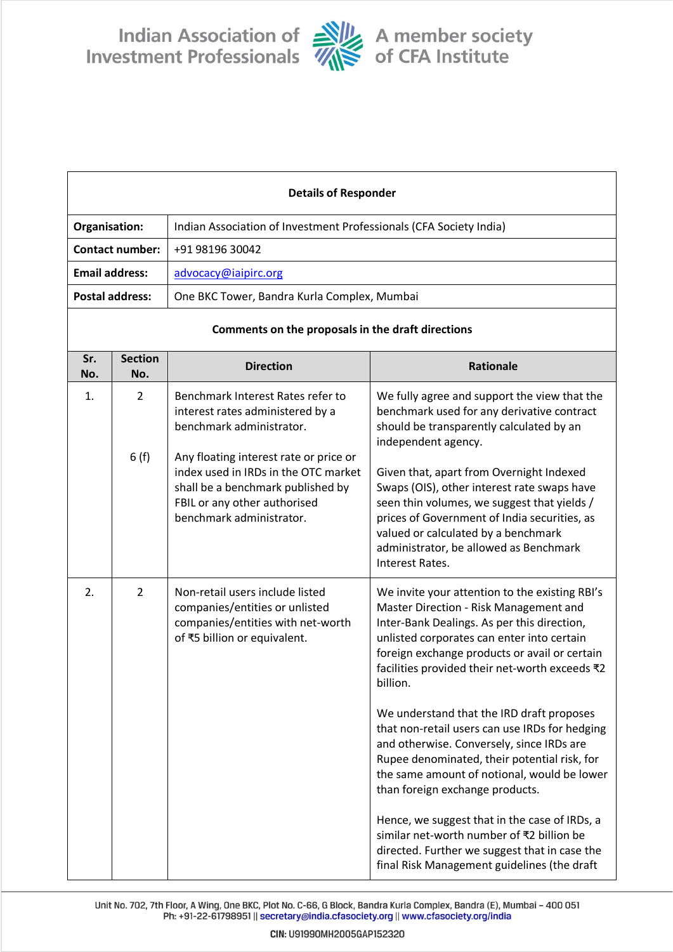Indian Association of Alle A member society<br>Investment Professionals Alle of CFA Institute



| <b>Details of Responder</b>                       |                        |                                                                                                                                                                                                                                                                                      |                                                                                                                                                                                                                                                                                                                                                                                                                                                                                                                                                                                                                                                                                                                                                                                  |  |
|---------------------------------------------------|------------------------|--------------------------------------------------------------------------------------------------------------------------------------------------------------------------------------------------------------------------------------------------------------------------------------|----------------------------------------------------------------------------------------------------------------------------------------------------------------------------------------------------------------------------------------------------------------------------------------------------------------------------------------------------------------------------------------------------------------------------------------------------------------------------------------------------------------------------------------------------------------------------------------------------------------------------------------------------------------------------------------------------------------------------------------------------------------------------------|--|
| Organisation:                                     |                        | Indian Association of Investment Professionals (CFA Society India)                                                                                                                                                                                                                   |                                                                                                                                                                                                                                                                                                                                                                                                                                                                                                                                                                                                                                                                                                                                                                                  |  |
| <b>Contact number:</b>                            |                        | +91 98196 30042                                                                                                                                                                                                                                                                      |                                                                                                                                                                                                                                                                                                                                                                                                                                                                                                                                                                                                                                                                                                                                                                                  |  |
| <b>Email address:</b>                             |                        | advocacy@iaipirc.org                                                                                                                                                                                                                                                                 |                                                                                                                                                                                                                                                                                                                                                                                                                                                                                                                                                                                                                                                                                                                                                                                  |  |
| <b>Postal address:</b>                            |                        | One BKC Tower, Bandra Kurla Complex, Mumbai                                                                                                                                                                                                                                          |                                                                                                                                                                                                                                                                                                                                                                                                                                                                                                                                                                                                                                                                                                                                                                                  |  |
| Comments on the proposals in the draft directions |                        |                                                                                                                                                                                                                                                                                      |                                                                                                                                                                                                                                                                                                                                                                                                                                                                                                                                                                                                                                                                                                                                                                                  |  |
| Sr.<br>No.                                        | <b>Section</b><br>No.  | <b>Direction</b>                                                                                                                                                                                                                                                                     | <b>Rationale</b>                                                                                                                                                                                                                                                                                                                                                                                                                                                                                                                                                                                                                                                                                                                                                                 |  |
| 1.                                                | $\overline{2}$<br>6(f) | Benchmark Interest Rates refer to<br>interest rates administered by a<br>benchmark administrator.<br>Any floating interest rate or price or<br>index used in IRDs in the OTC market<br>shall be a benchmark published by<br>FBIL or any other authorised<br>benchmark administrator. | We fully agree and support the view that the<br>benchmark used for any derivative contract<br>should be transparently calculated by an<br>independent agency.<br>Given that, apart from Overnight Indexed<br>Swaps (OIS), other interest rate swaps have<br>seen thin volumes, we suggest that yields /<br>prices of Government of India securities, as<br>valued or calculated by a benchmark<br>administrator, be allowed as Benchmark<br>Interest Rates.                                                                                                                                                                                                                                                                                                                      |  |
| 2.                                                | $\overline{2}$         | Non-retail users include listed<br>companies/entities or unlisted<br>companies/entities with net-worth<br>of ₹5 billion or equivalent.                                                                                                                                               | We invite your attention to the existing RBI's<br>Master Direction - Risk Management and<br>Inter-Bank Dealings. As per this direction,<br>unlisted corporates can enter into certain<br>foreign exchange products or avail or certain<br>facilities provided their net-worth exceeds ₹2<br>billion.<br>We understand that the IRD draft proposes<br>that non-retail users can use IRDs for hedging<br>and otherwise. Conversely, since IRDs are<br>Rupee denominated, their potential risk, for<br>the same amount of notional, would be lower<br>than foreign exchange products.<br>Hence, we suggest that in the case of IRDs, a<br>similar net-worth number of ₹2 billion be<br>directed. Further we suggest that in case the<br>final Risk Management guidelines (the draft |  |

Unit No. 702, 7th Floor, A Wing, One BKC, Plot No. C-66, G Block, Bandra Kurla Complex, Bandra (E), Mumbai - 400<br>Ph: +91-22-61798951 || secretary@india.cfasociety.org || www.cfasociety.org/india